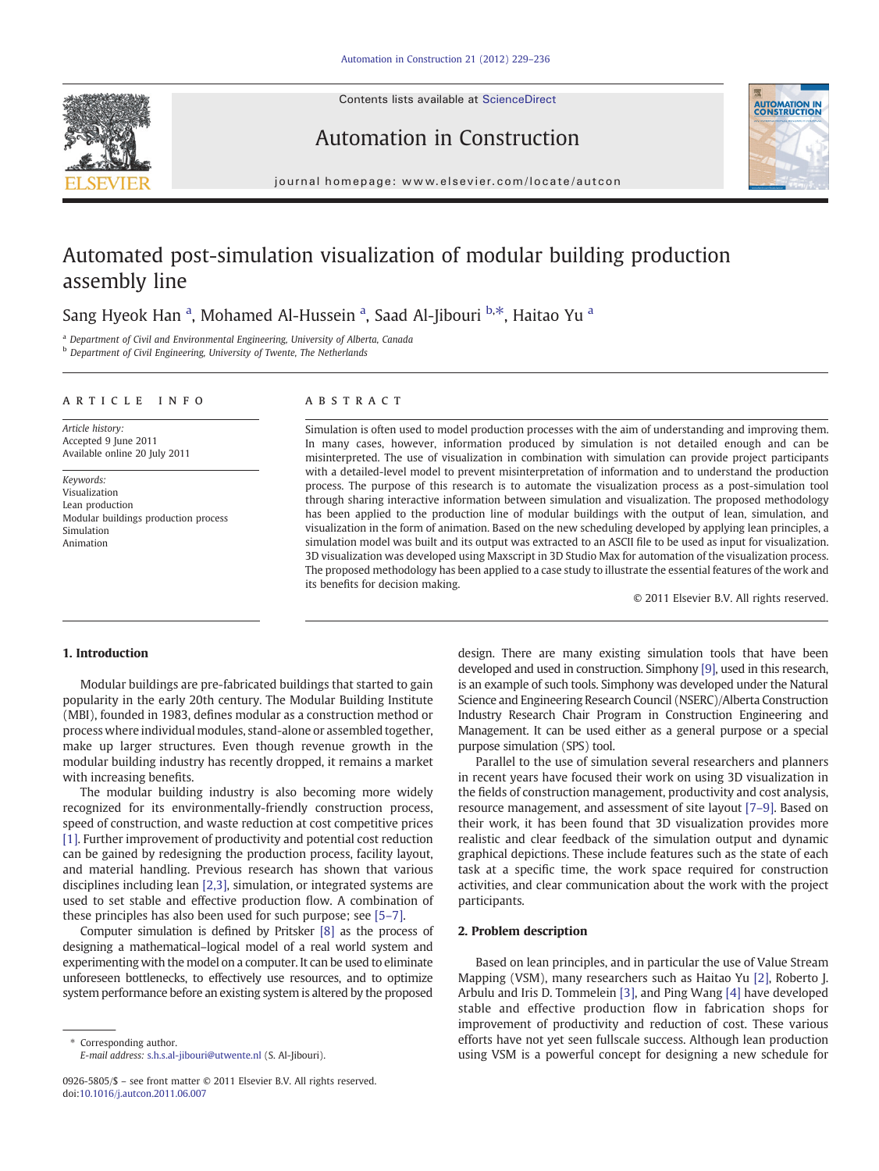Contents lists available at ScienceDirect





## Automation in Construction

journal homepage: www.elsevier.com/locate/autcon

## Automated post-simulation visualization of modular building production assembly line

## Sang Hyeok Han <sup>a</sup>, Mohamed Al-Hussein <sup>a</sup>, Saad Al-Jibouri <sup>b,\*</sup>, Haitao Yu <sup>a</sup>

<sup>a</sup> Department of Civil and Environmental Engineering, University of Alberta, Canada

**b** Department of Civil Engineering, University of Twente, The Netherlands

#### article info abstract

Article history: Accepted 9 June 2011 Available online 20 July 2011

Keywords: Visualization Lean production Modular buildings production process Simulation Animation

Simulation is often used to model production processes with the aim of understanding and improving them. In many cases, however, information produced by simulation is not detailed enough and can be misinterpreted. The use of visualization in combination with simulation can provide project participants with a detailed-level model to prevent misinterpretation of information and to understand the production process. The purpose of this research is to automate the visualization process as a post-simulation tool through sharing interactive information between simulation and visualization. The proposed methodology has been applied to the production line of modular buildings with the output of lean, simulation, and visualization in the form of animation. Based on the new scheduling developed by applying lean principles, a simulation model was built and its output was extracted to an ASCII file to be used as input for visualization. 3D visualization was developed using Maxscript in 3D Studio Max for automation of the visualization process. The proposed methodology has been applied to a case study to illustrate the essential features of the work and its benefits for decision making.

© 2011 Elsevier B.V. All rights reserved.

### 1. Introduction

Modular buildings are pre-fabricated buildings that started to gain popularity in the early 20th century. The Modular Building Institute (MBI), founded in 1983, defines modular as a construction method or process where individual modules, stand-alone or assembled together, make up larger structures. Even though revenue growth in the modular building industry has recently dropped, it remains a market with increasing benefits.

The modular building industry is also becoming more widely recognized for its environmentally-friendly construction process, speed of construction, and waste reduction at cost competitive prices [\[1\].](#page--1-0) Further improvement of productivity and potential cost reduction can be gained by redesigning the production process, facility layout, and material handling. Previous research has shown that various disciplines including lean [\[2,3\],](#page--1-0) simulation, or integrated systems are used to set stable and effective production flow. A combination of these principles has also been used for such purpose; see [\[5](#page--1-0)–7].

Computer simulation is defined by Pritsker [\[8\]](#page--1-0) as the process of designing a mathematical–logical model of a real world system and experimenting with the model on a computer. It can be used to eliminate unforeseen bottlenecks, to effectively use resources, and to optimize system performance before an existing system is altered by the proposed

⁎ Corresponding author. E-mail address: [s.h.s.al-jibouri@utwente.nl](mailto:s.h.s.al-jibouri@utwente.nl) (S. Al-Jibouri). design. There are many existing simulation tools that have been developed and used in construction. Simphony [\[9\],](#page--1-0) used in this research, is an example of such tools. Simphony was developed under the Natural Science and Engineering Research Council (NSERC)/Alberta Construction Industry Research Chair Program in Construction Engineering and Management. It can be used either as a general purpose or a special purpose simulation (SPS) tool.

Parallel to the use of simulation several researchers and planners in recent years have focused their work on using 3D visualization in the fields of construction management, productivity and cost analysis, resource management, and assessment of site layout [7–[9\].](#page--1-0) Based on their work, it has been found that 3D visualization provides more realistic and clear feedback of the simulation output and dynamic graphical depictions. These include features such as the state of each task at a specific time, the work space required for construction activities, and clear communication about the work with the project participants.

#### 2. Problem description

Based on lean principles, and in particular the use of Value Stream Mapping (VSM), many researchers such as Haitao Yu [\[2\]](#page--1-0), Roberto J. Arbulu and Iris D. Tommelein [\[3\]](#page--1-0), and Ping Wang [\[4\]](#page--1-0) have developed stable and effective production flow in fabrication shops for improvement of productivity and reduction of cost. These various efforts have not yet seen fullscale success. Although lean production using VSM is a powerful concept for designing a new schedule for

<sup>0926-5805/\$</sup> – see front matter © 2011 Elsevier B.V. All rights reserved. doi:[10.1016/j.autcon.2011.06.007](http://dx.doi.org/10.1016/j.autcon.2011.06.007)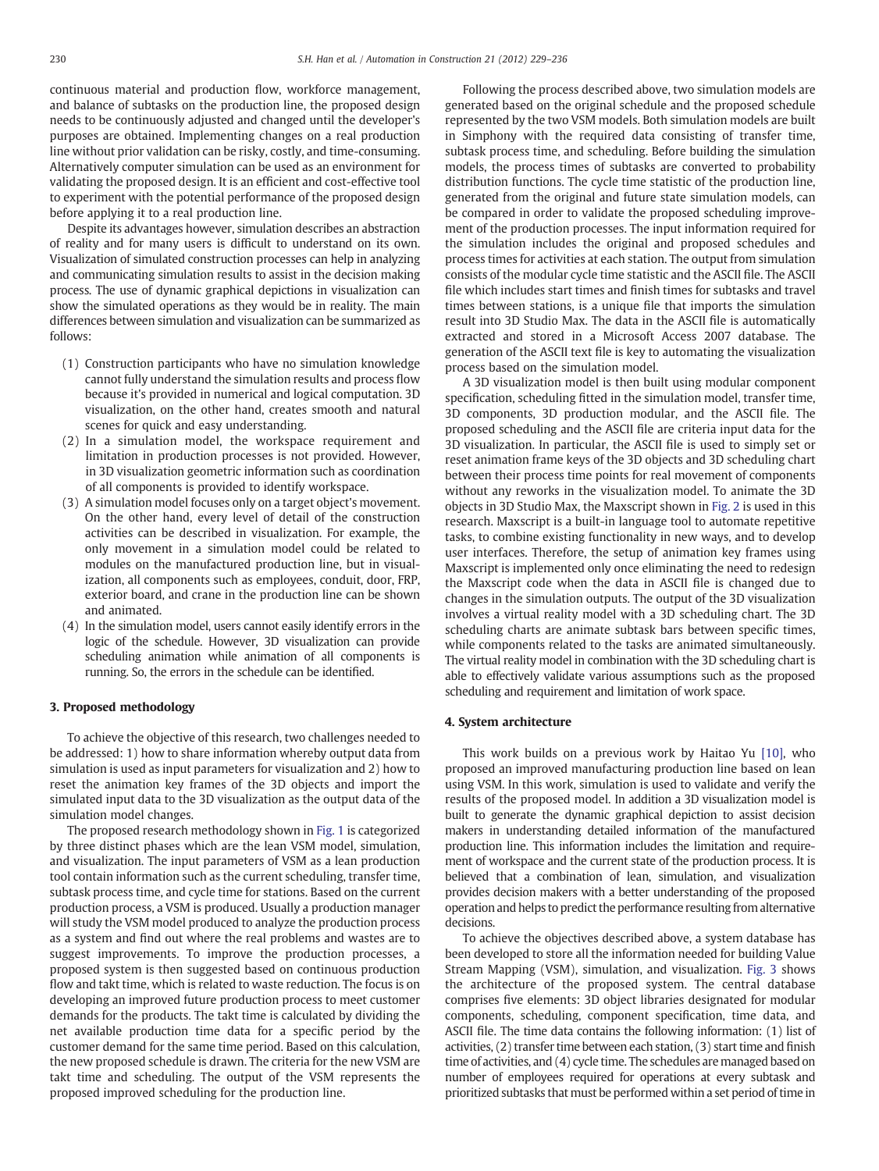continuous material and production flow, workforce management, and balance of subtasks on the production line, the proposed design needs to be continuously adjusted and changed until the developer's purposes are obtained. Implementing changes on a real production line without prior validation can be risky, costly, and time-consuming. Alternatively computer simulation can be used as an environment for validating the proposed design. It is an efficient and cost-effective tool to experiment with the potential performance of the proposed design before applying it to a real production line.

Despite its advantages however, simulation describes an abstraction of reality and for many users is difficult to understand on its own. Visualization of simulated construction processes can help in analyzing and communicating simulation results to assist in the decision making process. The use of dynamic graphical depictions in visualization can show the simulated operations as they would be in reality. The main differences between simulation and visualization can be summarized as follows:

- (1) Construction participants who have no simulation knowledge cannot fully understand the simulation results and process flow because it's provided in numerical and logical computation. 3D visualization, on the other hand, creates smooth and natural scenes for quick and easy understanding.
- (2) In a simulation model, the workspace requirement and limitation in production processes is not provided. However, in 3D visualization geometric information such as coordination of all components is provided to identify workspace.
- (3) A simulation model focuses only on a target object's movement. On the other hand, every level of detail of the construction activities can be described in visualization. For example, the only movement in a simulation model could be related to modules on the manufactured production line, but in visualization, all components such as employees, conduit, door, FRP, exterior board, and crane in the production line can be shown and animated.
- (4) In the simulation model, users cannot easily identify errors in the logic of the schedule. However, 3D visualization can provide scheduling animation while animation of all components is running. So, the errors in the schedule can be identified.

#### 3. Proposed methodology

To achieve the objective of this research, two challenges needed to be addressed: 1) how to share information whereby output data from simulation is used as input parameters for visualization and 2) how to reset the animation key frames of the 3D objects and import the simulated input data to the 3D visualization as the output data of the simulation model changes.

The proposed research methodology shown in [Fig. 1](#page--1-0) is categorized by three distinct phases which are the lean VSM model, simulation, and visualization. The input parameters of VSM as a lean production tool contain information such as the current scheduling, transfer time, subtask process time, and cycle time for stations. Based on the current production process, a VSM is produced. Usually a production manager will study the VSM model produced to analyze the production process as a system and find out where the real problems and wastes are to suggest improvements. To improve the production processes, a proposed system is then suggested based on continuous production flow and takt time, which is related to waste reduction. The focus is on developing an improved future production process to meet customer demands for the products. The takt time is calculated by dividing the net available production time data for a specific period by the customer demand for the same time period. Based on this calculation, the new proposed schedule is drawn. The criteria for the new VSM are takt time and scheduling. The output of the VSM represents the proposed improved scheduling for the production line.

Following the process described above, two simulation models are generated based on the original schedule and the proposed schedule represented by the two VSM models. Both simulation models are built in Simphony with the required data consisting of transfer time, subtask process time, and scheduling. Before building the simulation models, the process times of subtasks are converted to probability distribution functions. The cycle time statistic of the production line, generated from the original and future state simulation models, can be compared in order to validate the proposed scheduling improvement of the production processes. The input information required for the simulation includes the original and proposed schedules and process times for activities at each station. The output from simulation consists of the modular cycle time statistic and the ASCII file. The ASCII file which includes start times and finish times for subtasks and travel times between stations, is a unique file that imports the simulation result into 3D Studio Max. The data in the ASCII file is automatically extracted and stored in a Microsoft Access 2007 database. The generation of the ASCII text file is key to automating the visualization process based on the simulation model.

A 3D visualization model is then built using modular component specification, scheduling fitted in the simulation model, transfer time, 3D components, 3D production modular, and the ASCII file. The proposed scheduling and the ASCII file are criteria input data for the 3D visualization. In particular, the ASCII file is used to simply set or reset animation frame keys of the 3D objects and 3D scheduling chart between their process time points for real movement of components without any reworks in the visualization model. To animate the 3D objects in 3D Studio Max, the Maxscript shown in [Fig. 2](#page--1-0) is used in this research. Maxscript is a built-in language tool to automate repetitive tasks, to combine existing functionality in new ways, and to develop user interfaces. Therefore, the setup of animation key frames using Maxscript is implemented only once eliminating the need to redesign the Maxscript code when the data in ASCII file is changed due to changes in the simulation outputs. The output of the 3D visualization involves a virtual reality model with a 3D scheduling chart. The 3D scheduling charts are animate subtask bars between specific times, while components related to the tasks are animated simultaneously. The virtual reality model in combination with the 3D scheduling chart is able to effectively validate various assumptions such as the proposed scheduling and requirement and limitation of work space.

#### 4. System architecture

This work builds on a previous work by Haitao Yu [\[10\],](#page--1-0) who proposed an improved manufacturing production line based on lean using VSM. In this work, simulation is used to validate and verify the results of the proposed model. In addition a 3D visualization model is built to generate the dynamic graphical depiction to assist decision makers in understanding detailed information of the manufactured production line. This information includes the limitation and requirement of workspace and the current state of the production process. It is believed that a combination of lean, simulation, and visualization provides decision makers with a better understanding of the proposed operation and helps to predict the performance resulting from alternative decisions.

To achieve the objectives described above, a system database has been developed to store all the information needed for building Value Stream Mapping (VSM), simulation, and visualization. [Fig. 3](#page--1-0) shows the architecture of the proposed system. The central database comprises five elements: 3D object libraries designated for modular components, scheduling, component specification, time data, and ASCII file. The time data contains the following information: (1) list of activities, (2) transfer time between each station, (3) start time and finish time of activities, and (4) cycle time. The schedules are managed based on number of employees required for operations at every subtask and prioritized subtasks that must be performed within a set period of time in